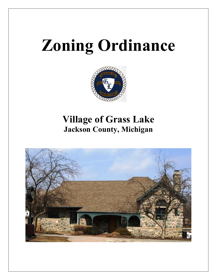# **Zoning Ordinance**



## **Village of Grass Lake Jackson County, Michigan**

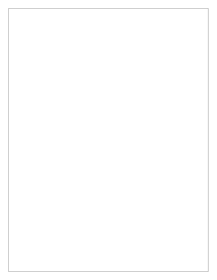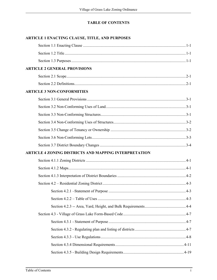#### **TABLE OF CONTENTS**

### ARTICLE 1 ENACTING CLAUSE, TITLE, AND PURPOSES

| <b>ARTICLE 2 GENERAL PROVISIONS</b>                          |  |
|--------------------------------------------------------------|--|
|                                                              |  |
|                                                              |  |
| <b>ARTICLE 3 NON-CONFORMITIES</b>                            |  |
|                                                              |  |
|                                                              |  |
|                                                              |  |
|                                                              |  |
|                                                              |  |
|                                                              |  |
|                                                              |  |
| <b>ARTICLE 4 ZONING DISTRICTS AND MAPPING INTERPRETATION</b> |  |
|                                                              |  |
|                                                              |  |
|                                                              |  |
|                                                              |  |
|                                                              |  |
|                                                              |  |
|                                                              |  |
|                                                              |  |
|                                                              |  |
|                                                              |  |
|                                                              |  |
|                                                              |  |
|                                                              |  |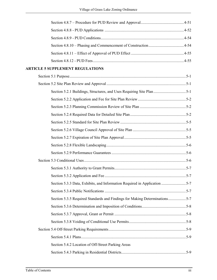| <b>ARTICLE 5 SUPPLEMENT REGULATIONS</b>                                    |  |
|----------------------------------------------------------------------------|--|
|                                                                            |  |
|                                                                            |  |
| Section 5.2.1 Buildings, Structures, and Uses Requiring Site Plan 5-1      |  |
|                                                                            |  |
|                                                                            |  |
|                                                                            |  |
|                                                                            |  |
|                                                                            |  |
|                                                                            |  |
|                                                                            |  |
|                                                                            |  |
|                                                                            |  |
|                                                                            |  |
|                                                                            |  |
| Section 5.3.3 Data, Exhibits, and Information Required in Application 5-7  |  |
|                                                                            |  |
| Section 5.3.5 Required Standards and Findings for Making Determinations5-7 |  |
|                                                                            |  |
|                                                                            |  |
|                                                                            |  |
|                                                                            |  |
|                                                                            |  |
| Section 5.4.2 Location of Off-Street Parking Areas                         |  |
|                                                                            |  |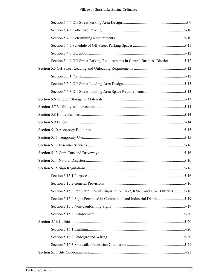| Section 5.4.9 Off-Street Parking Requirements in Central Business District5-12    |  |
|-----------------------------------------------------------------------------------|--|
|                                                                                   |  |
|                                                                                   |  |
|                                                                                   |  |
|                                                                                   |  |
|                                                                                   |  |
|                                                                                   |  |
|                                                                                   |  |
|                                                                                   |  |
|                                                                                   |  |
|                                                                                   |  |
|                                                                                   |  |
|                                                                                   |  |
|                                                                                   |  |
|                                                                                   |  |
|                                                                                   |  |
|                                                                                   |  |
| Section 5.15.3 Permitted On-Site Signs in R-1, R-2, RM-1, and OS-1 Districts 5-18 |  |
| Section 5.15.4 Signs Permitted in Commercial and Industrial Districts5-19         |  |
|                                                                                   |  |
|                                                                                   |  |
|                                                                                   |  |
|                                                                                   |  |
|                                                                                   |  |
|                                                                                   |  |
|                                                                                   |  |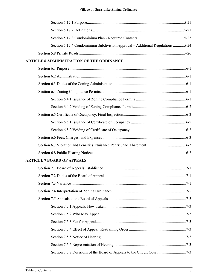| Section 5.17.4 Condominium Subdivision Approval - Additional Regulations 5-24 |  |
|-------------------------------------------------------------------------------|--|
|                                                                               |  |
| <b>ARTICLE 6 ADMINISTRATION OF THE ORDINANCE</b>                              |  |
|                                                                               |  |
|                                                                               |  |
|                                                                               |  |
|                                                                               |  |
|                                                                               |  |
|                                                                               |  |
|                                                                               |  |
|                                                                               |  |
|                                                                               |  |
|                                                                               |  |
|                                                                               |  |
|                                                                               |  |
| <b>ARTICLE 7 BOARD OF APPEALS</b>                                             |  |
|                                                                               |  |
|                                                                               |  |
|                                                                               |  |
|                                                                               |  |
|                                                                               |  |
|                                                                               |  |
|                                                                               |  |
|                                                                               |  |
|                                                                               |  |
|                                                                               |  |
|                                                                               |  |
|                                                                               |  |